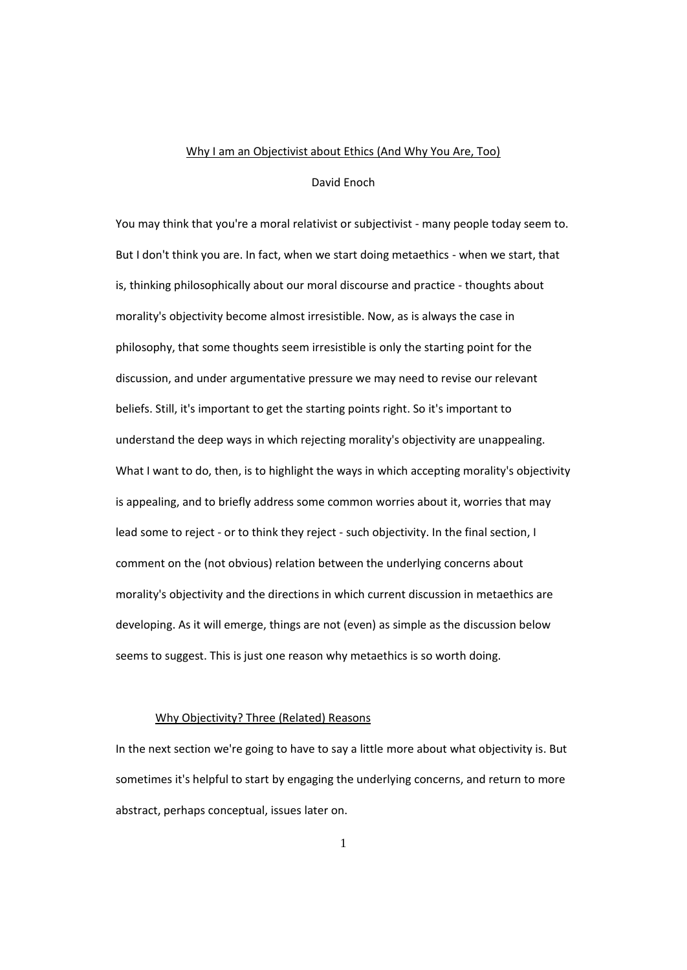#### Why I am an Objectivist about Ethics (And Why You Are, Too)

## David Enoch

You may think that you're a moral relativist or subjectivist - many people today seem to. But I don't think you are. In fact, when we start doing metaethics - when we start, that is, thinking philosophically about our moral discourse and practice - thoughts about morality's objectivity become almost irresistible. Now, as is always the case in philosophy, that some thoughts seem irresistible is only the starting point for the discussion, and under argumentative pressure we may need to revise our relevant beliefs. Still, it's important to get the starting points right. So it's important to understand the deep ways in which rejecting morality's objectivity are unappealing. What I want to do, then, is to highlight the ways in which accepting morality's objectivity is appealing, and to briefly address some common worries about it, worries that may lead some to reject - or to think they reject - such objectivity. In the final section, I comment on the (not obvious) relation between the underlying concerns about morality's objectivity and the directions in which current discussion in metaethics are developing. As it will emerge, things are not (even) as simple as the discussion below seems to suggest. This is just one reason why metaethics is so worth doing.

#### Why Objectivity? Three (Related) Reasons

In the next section we're going to have to say a little more about what objectivity is. But sometimes it's helpful to start by engaging the underlying concerns, and return to more abstract, perhaps conceptual, issues later on.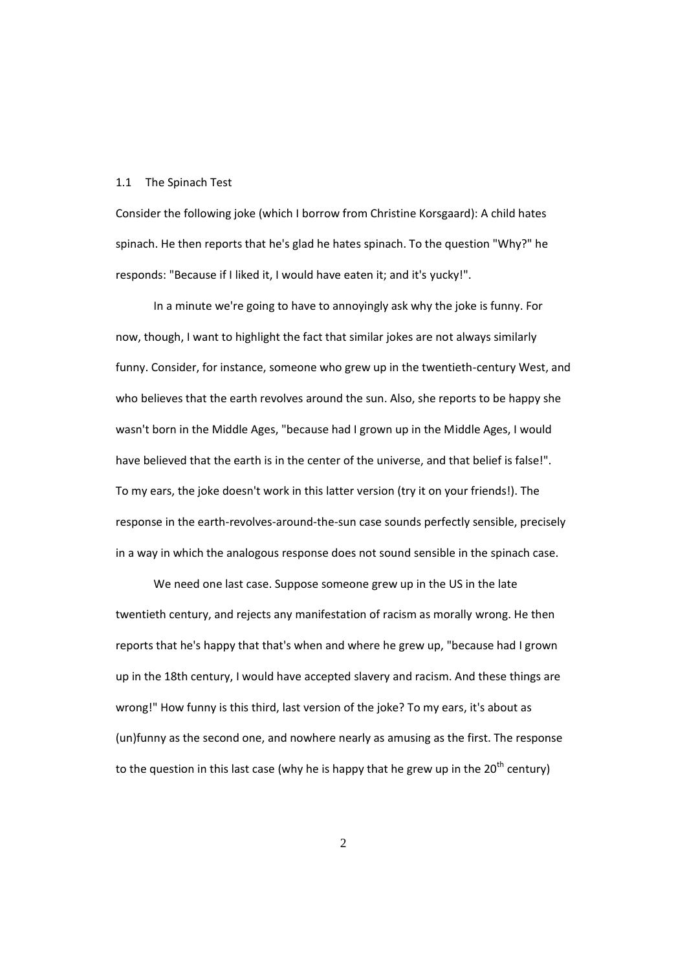### 1.1 The Spinach Test

Consider the following joke (which I borrow from Christine Korsgaard): A child hates spinach. He then reports that he's glad he hates spinach. To the question "Why?" he responds: "Because if I liked it, I would have eaten it; and it's yucky!".

In a minute we're going to have to annoyingly ask why the joke is funny. For now, though, I want to highlight the fact that similar jokes are not always similarly funny. Consider, for instance, someone who grew up in the twentieth-century West, and who believes that the earth revolves around the sun. Also, she reports to be happy she wasn't born in the Middle Ages, "because had I grown up in the Middle Ages, I would have believed that the earth is in the center of the universe, and that belief is false!". To my ears, the joke doesn't work in this latter version (try it on your friends!). The response in the earth-revolves-around-the-sun case sounds perfectly sensible, precisely in a way in which the analogous response does not sound sensible in the spinach case.

We need one last case. Suppose someone grew up in the US in the late twentieth century, and rejects any manifestation of racism as morally wrong. He then reports that he's happy that that's when and where he grew up, "because had I grown up in the 18th century, I would have accepted slavery and racism. And these things are wrong!" How funny is this third, last version of the joke? To my ears, it's about as (un)funny as the second one, and nowhere nearly as amusing as the first. The response to the question in this last case (why he is happy that he grew up in the  $20<sup>th</sup>$  century)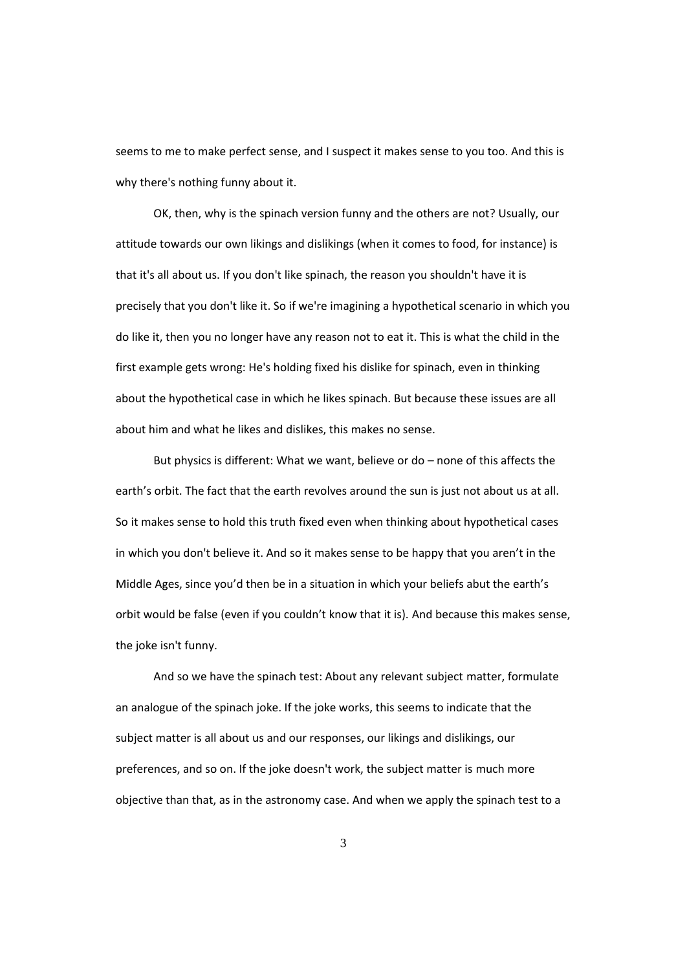seems to me to make perfect sense, and I suspect it makes sense to you too. And this is why there's nothing funny about it.

OK, then, why is the spinach version funny and the others are not? Usually, our attitude towards our own likings and dislikings (when it comes to food, for instance) is that it's all about us. If you don't like spinach, the reason you shouldn't have it is precisely that you don't like it. So if we're imagining a hypothetical scenario in which you do like it, then you no longer have any reason not to eat it. This is what the child in the first example gets wrong: He's holding fixed his dislike for spinach, even in thinking about the hypothetical case in which he likes spinach. But because these issues are all about him and what he likes and dislikes, this makes no sense.

But physics is different: What we want, believe or do – none of this affects the earth's orbit. The fact that the earth revolves around the sun is just not about us at all. So it makes sense to hold this truth fixed even when thinking about hypothetical cases in which you don't believe it. And so it makes sense to be happy that you aren't in the Middle Ages, since you'd then be in a situation in which your beliefs abut the earth's orbit would be false (even if you couldn't know that it is). And because this makes sense, the joke isn't funny.

And so we have the spinach test: About any relevant subject matter, formulate an analogue of the spinach joke. If the joke works, this seems to indicate that the subject matter is all about us and our responses, our likings and dislikings, our preferences, and so on. If the joke doesn't work, the subject matter is much more objective than that, as in the astronomy case. And when we apply the spinach test to a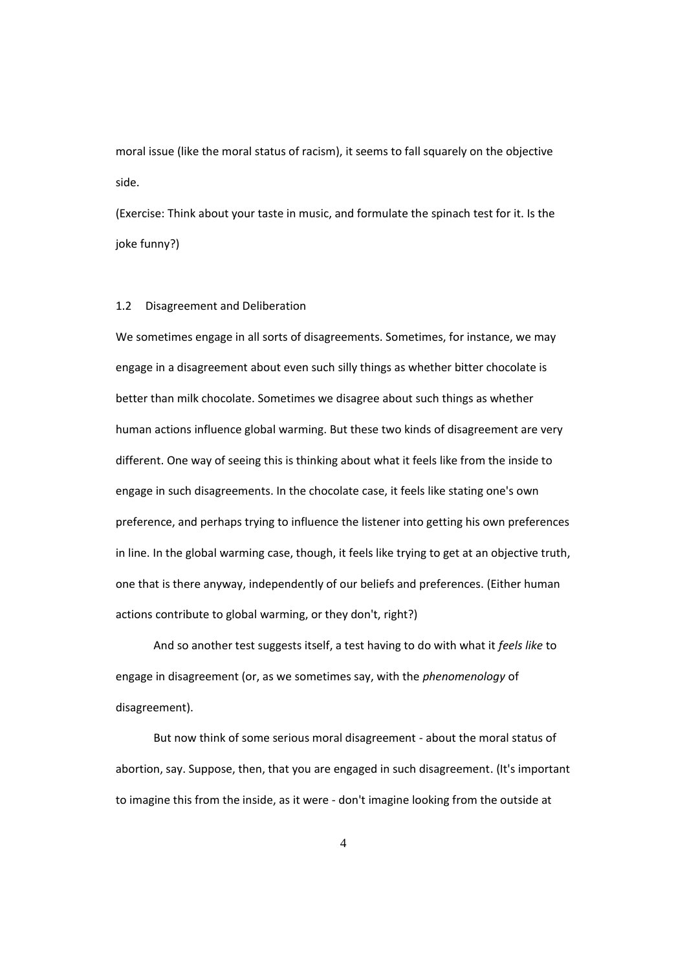moral issue (like the moral status of racism), it seems to fall squarely on the objective side.

(Exercise: Think about your taste in music, and formulate the spinach test for it. Is the joke funny?)

## 1.2 Disagreement and Deliberation

We sometimes engage in all sorts of disagreements. Sometimes, for instance, we may engage in a disagreement about even such silly things as whether bitter chocolate is better than milk chocolate. Sometimes we disagree about such things as whether human actions influence global warming. But these two kinds of disagreement are very different. One way of seeing this is thinking about what it feels like from the inside to engage in such disagreements. In the chocolate case, it feels like stating one's own preference, and perhaps trying to influence the listener into getting his own preferences in line. In the global warming case, though, it feels like trying to get at an objective truth, one that is there anyway, independently of our beliefs and preferences. (Either human actions contribute to global warming, or they don't, right?)

And so another test suggests itself, a test having to do with what it *feels like* to engage in disagreement (or, as we sometimes say, with the *phenomenology* of disagreement).

But now think of some serious moral disagreement - about the moral status of abortion, say. Suppose, then, that you are engaged in such disagreement. (It's important to imagine this from the inside, as it were - don't imagine looking from the outside at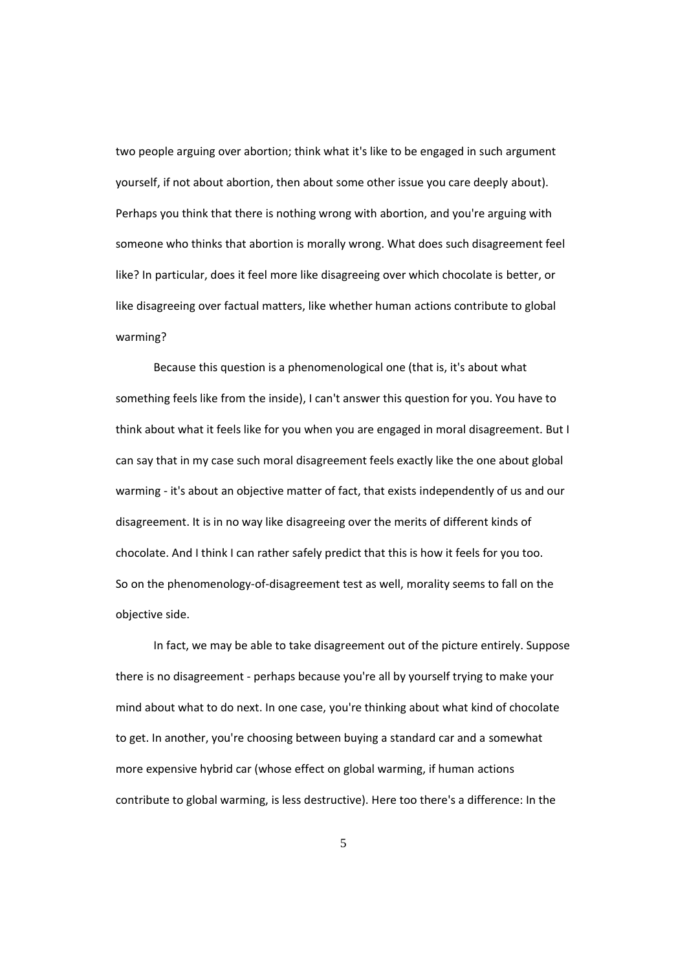two people arguing over abortion; think what it's like to be engaged in such argument yourself, if not about abortion, then about some other issue you care deeply about). Perhaps you think that there is nothing wrong with abortion, and you're arguing with someone who thinks that abortion is morally wrong. What does such disagreement feel like? In particular, does it feel more like disagreeing over which chocolate is better, or like disagreeing over factual matters, like whether human actions contribute to global warming?

Because this question is a phenomenological one (that is, it's about what something feels like from the inside), I can't answer this question for you. You have to think about what it feels like for you when you are engaged in moral disagreement. But I can say that in my case such moral disagreement feels exactly like the one about global warming - it's about an objective matter of fact, that exists independently of us and our disagreement. It is in no way like disagreeing over the merits of different kinds of chocolate. And I think I can rather safely predict that this is how it feels for you too. So on the phenomenology-of-disagreement test as well, morality seems to fall on the objective side.

In fact, we may be able to take disagreement out of the picture entirely. Suppose there is no disagreement - perhaps because you're all by yourself trying to make your mind about what to do next. In one case, you're thinking about what kind of chocolate to get. In another, you're choosing between buying a standard car and a somewhat more expensive hybrid car (whose effect on global warming, if human actions contribute to global warming, is less destructive). Here too there's a difference: In the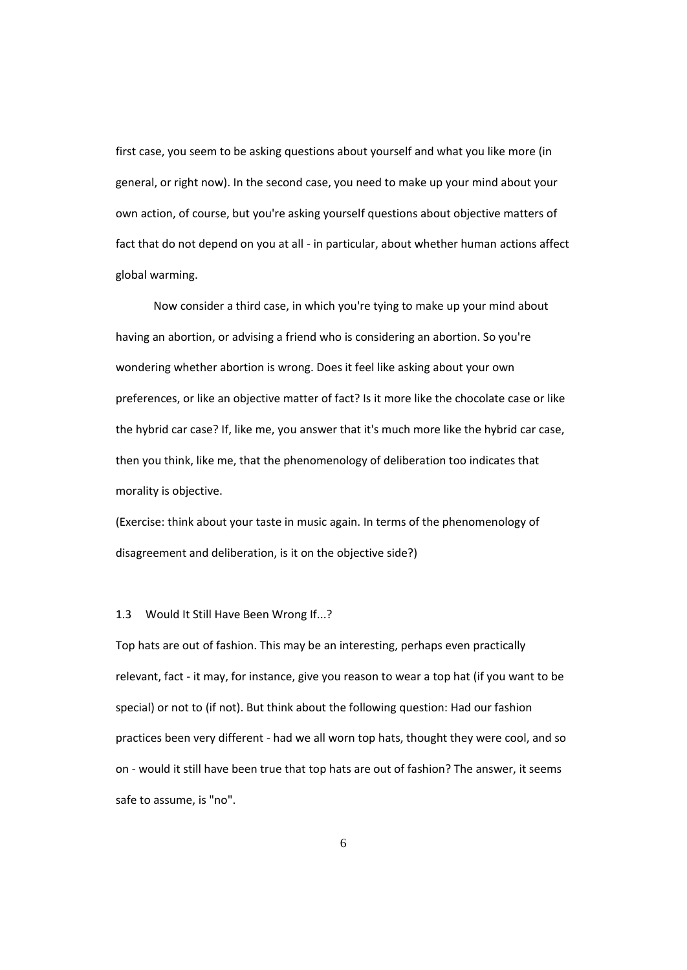first case, you seem to be asking questions about yourself and what you like more (in general, or right now). In the second case, you need to make up your mind about your own action, of course, but you're asking yourself questions about objective matters of fact that do not depend on you at all - in particular, about whether human actions affect global warming.

Now consider a third case, in which you're tying to make up your mind about having an abortion, or advising a friend who is considering an abortion. So you're wondering whether abortion is wrong. Does it feel like asking about your own preferences, or like an objective matter of fact? Is it more like the chocolate case or like the hybrid car case? If, like me, you answer that it's much more like the hybrid car case, then you think, like me, that the phenomenology of deliberation too indicates that morality is objective.

(Exercise: think about your taste in music again. In terms of the phenomenology of disagreement and deliberation, is it on the objective side?)

# 1.3 Would It Still Have Been Wrong If...?

Top hats are out of fashion. This may be an interesting, perhaps even practically relevant, fact - it may, for instance, give you reason to wear a top hat (if you want to be special) or not to (if not). But think about the following question: Had our fashion practices been very different - had we all worn top hats, thought they were cool, and so on - would it still have been true that top hats are out of fashion? The answer, it seems safe to assume, is "no".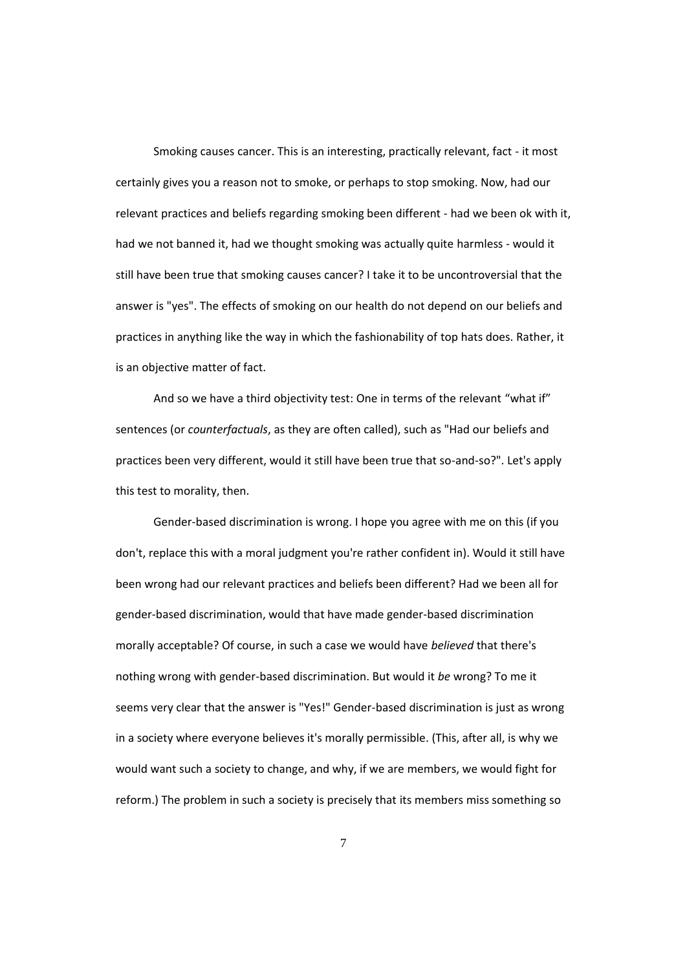Smoking causes cancer. This is an interesting, practically relevant, fact - it most certainly gives you a reason not to smoke, or perhaps to stop smoking. Now, had our relevant practices and beliefs regarding smoking been different - had we been ok with it, had we not banned it, had we thought smoking was actually quite harmless - would it still have been true that smoking causes cancer? I take it to be uncontroversial that the answer is "yes". The effects of smoking on our health do not depend on our beliefs and practices in anything like the way in which the fashionability of top hats does. Rather, it is an objective matter of fact.

And so we have a third objectivity test: One in terms of the relevant "what if" sentences (or *counterfactuals*, as they are often called), such as "Had our beliefs and practices been very different, would it still have been true that so-and-so?". Let's apply this test to morality, then.

Gender-based discrimination is wrong. I hope you agree with me on this (if you don't, replace this with a moral judgment you're rather confident in). Would it still have been wrong had our relevant practices and beliefs been different? Had we been all for gender-based discrimination, would that have made gender-based discrimination morally acceptable? Of course, in such a case we would have *believed* that there's nothing wrong with gender-based discrimination. But would it *be* wrong? To me it seems very clear that the answer is "Yes!" Gender-based discrimination is just as wrong in a society where everyone believes it's morally permissible. (This, after all, is why we would want such a society to change, and why, if we are members, we would fight for reform.) The problem in such a society is precisely that its members miss something so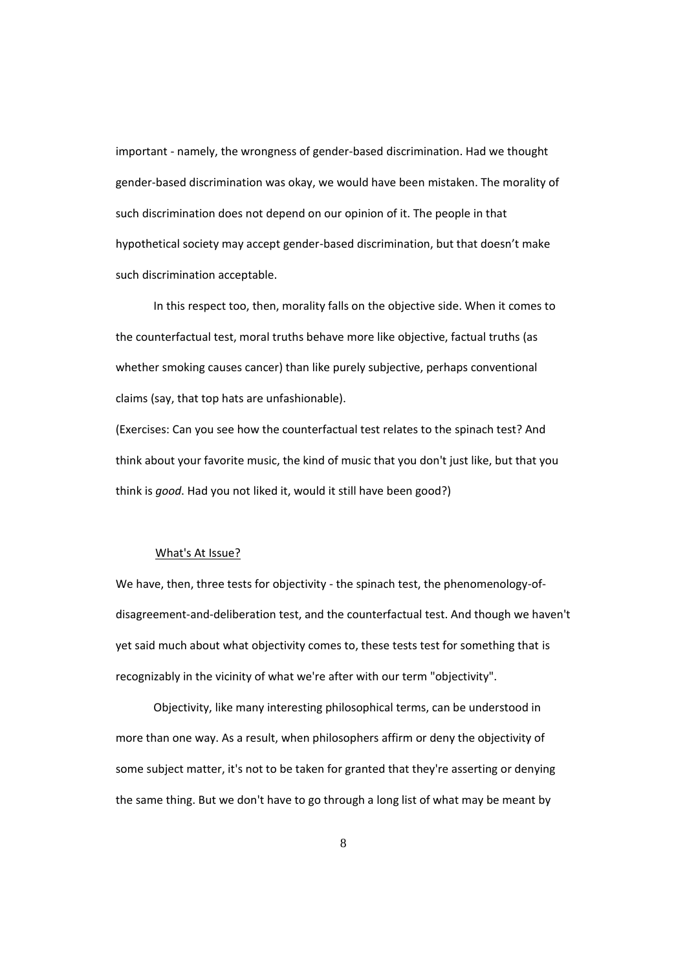important - namely, the wrongness of gender-based discrimination. Had we thought gender-based discrimination was okay, we would have been mistaken. The morality of such discrimination does not depend on our opinion of it. The people in that hypothetical society may accept gender-based discrimination, but that doesn't make such discrimination acceptable.

In this respect too, then, morality falls on the objective side. When it comes to the counterfactual test, moral truths behave more like objective, factual truths (as whether smoking causes cancer) than like purely subjective, perhaps conventional claims (say, that top hats are unfashionable).

(Exercises: Can you see how the counterfactual test relates to the spinach test? And think about your favorite music, the kind of music that you don't just like, but that you think is *good*. Had you not liked it, would it still have been good?)

## What's At Issue?

We have, then, three tests for objectivity - the spinach test, the phenomenology-ofdisagreement-and-deliberation test, and the counterfactual test. And though we haven't yet said much about what objectivity comes to, these tests test for something that is recognizably in the vicinity of what we're after with our term "objectivity".

Objectivity, like many interesting philosophical terms, can be understood in more than one way. As a result, when philosophers affirm or deny the objectivity of some subject matter, it's not to be taken for granted that they're asserting or denying the same thing. But we don't have to go through a long list of what may be meant by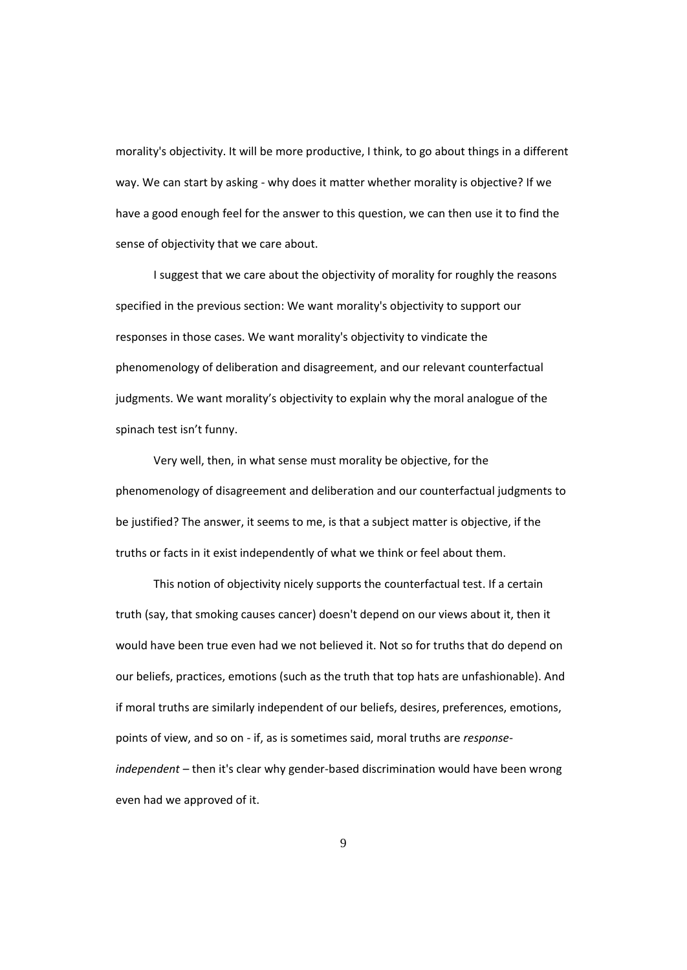morality's objectivity. It will be more productive, I think, to go about things in a different way. We can start by asking - why does it matter whether morality is objective? If we have a good enough feel for the answer to this question, we can then use it to find the sense of objectivity that we care about.

I suggest that we care about the objectivity of morality for roughly the reasons specified in the previous section: We want morality's objectivity to support our responses in those cases. We want morality's objectivity to vindicate the phenomenology of deliberation and disagreement, and our relevant counterfactual judgments. We want morality's objectivity to explain why the moral analogue of the spinach test isn't funny.

Very well, then, in what sense must morality be objective, for the phenomenology of disagreement and deliberation and our counterfactual judgments to be justified? The answer, it seems to me, is that a subject matter is objective, if the truths or facts in it exist independently of what we think or feel about them.

This notion of objectivity nicely supports the counterfactual test. If a certain truth (say, that smoking causes cancer) doesn't depend on our views about it, then it would have been true even had we not believed it. Not so for truths that do depend on our beliefs, practices, emotions (such as the truth that top hats are unfashionable). And if moral truths are similarly independent of our beliefs, desires, preferences, emotions, points of view, and so on - if, as is sometimes said, moral truths are *responseindependent –* then it's clear why gender-based discrimination would have been wrong even had we approved of it.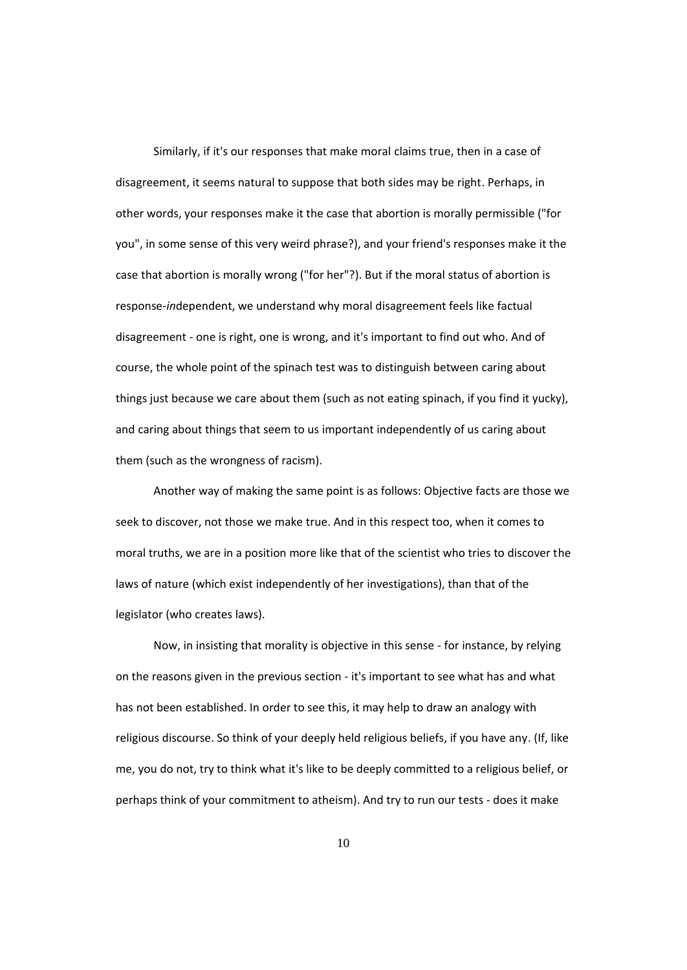Similarly, if it's our responses that make moral claims true, then in a case of disagreement, it seems natural to suppose that both sides may be right. Perhaps, in other words, your responses make it the case that abortion is morally permissible ("for you", in some sense of this very weird phrase?), and your friend's responses make it the case that abortion is morally wrong ("for her"?). But if the moral status of abortion is response-*in*dependent, we understand why moral disagreement feels like factual disagreement - one is right, one is wrong, and it's important to find out who. And of course, the whole point of the spinach test was to distinguish between caring about things just because we care about them (such as not eating spinach, if you find it yucky), and caring about things that seem to us important independently of us caring about them (such as the wrongness of racism).

Another way of making the same point is as follows: Objective facts are those we seek to discover, not those we make true. And in this respect too, when it comes to moral truths, we are in a position more like that of the scientist who tries to discover the laws of nature (which exist independently of her investigations), than that of the legislator (who creates laws).

Now, in insisting that morality is objective in this sense - for instance, by relying on the reasons given in the previous section - it's important to see what has and what has not been established. In order to see this, it may help to draw an analogy with religious discourse. So think of your deeply held religious beliefs, if you have any. (If, like me, you do not, try to think what it's like to be deeply committed to a religious belief, or perhaps think of your commitment to atheism). And try to run our tests - does it make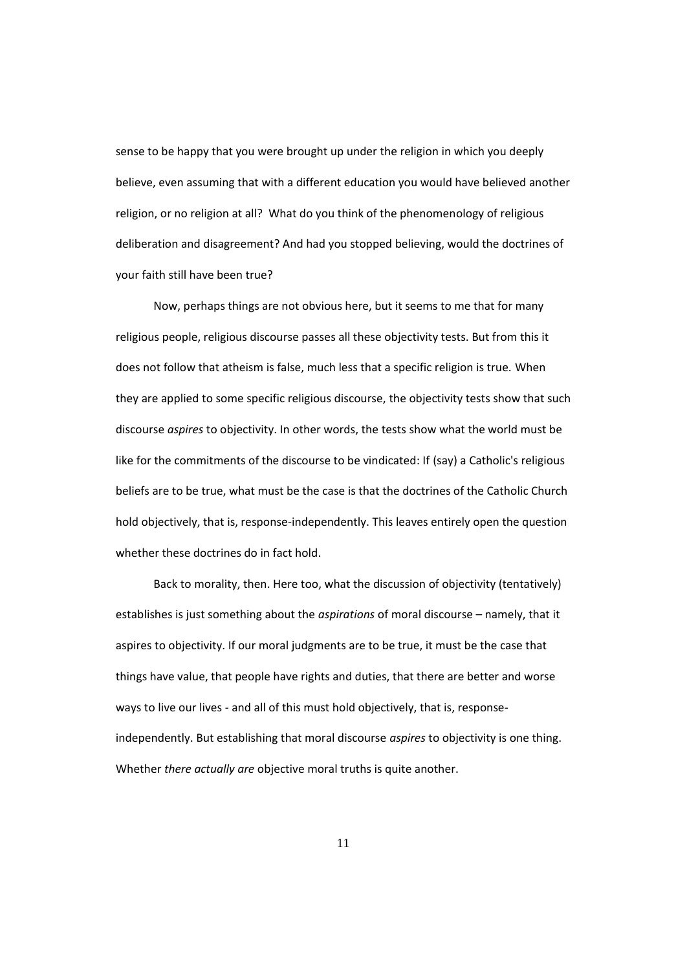sense to be happy that you were brought up under the religion in which you deeply believe, even assuming that with a different education you would have believed another religion, or no religion at all? What do you think of the phenomenology of religious deliberation and disagreement? And had you stopped believing, would the doctrines of your faith still have been true?

Now, perhaps things are not obvious here, but it seems to me that for many religious people, religious discourse passes all these objectivity tests. But from this it does not follow that atheism is false, much less that a specific religion is true. When they are applied to some specific religious discourse, the objectivity tests show that such discourse *aspires* to objectivity. In other words, the tests show what the world must be like for the commitments of the discourse to be vindicated: If (say) a Catholic's religious beliefs are to be true, what must be the case is that the doctrines of the Catholic Church hold objectively, that is, response-independently. This leaves entirely open the question whether these doctrines do in fact hold.

Back to morality, then. Here too, what the discussion of objectivity (tentatively) establishes is just something about the *aspirations* of moral discourse – namely, that it aspires to objectivity. If our moral judgments are to be true, it must be the case that things have value, that people have rights and duties, that there are better and worse ways to live our lives - and all of this must hold objectively, that is, responseindependently. But establishing that moral discourse *aspires* to objectivity is one thing. Whether *there actually are* objective moral truths is quite another.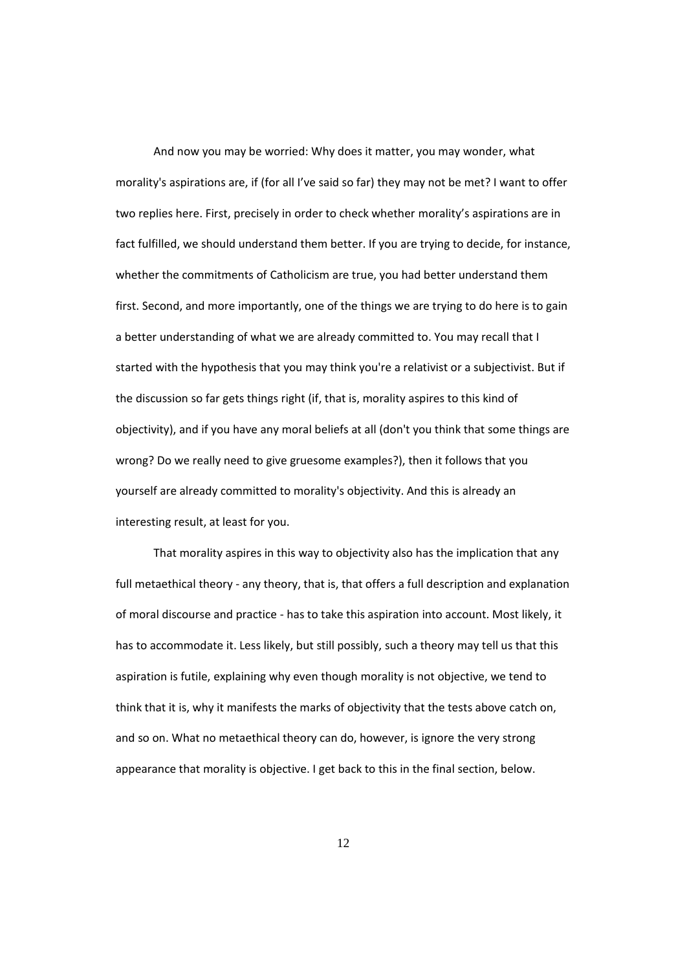And now you may be worried: Why does it matter, you may wonder, what morality's aspirations are, if (for all I've said so far) they may not be met? I want to offer two replies here. First, precisely in order to check whether morality's aspirations are in fact fulfilled, we should understand them better. If you are trying to decide, for instance, whether the commitments of Catholicism are true, you had better understand them first. Second, and more importantly, one of the things we are trying to do here is to gain a better understanding of what we are already committed to. You may recall that I started with the hypothesis that you may think you're a relativist or a subjectivist. But if the discussion so far gets things right (if, that is, morality aspires to this kind of objectivity), and if you have any moral beliefs at all (don't you think that some things are wrong? Do we really need to give gruesome examples?), then it follows that you yourself are already committed to morality's objectivity. And this is already an interesting result, at least for you.

That morality aspires in this way to objectivity also has the implication that any full metaethical theory - any theory, that is, that offers a full description and explanation of moral discourse and practice - has to take this aspiration into account. Most likely, it has to accommodate it. Less likely, but still possibly, such a theory may tell us that this aspiration is futile, explaining why even though morality is not objective, we tend to think that it is, why it manifests the marks of objectivity that the tests above catch on, and so on. What no metaethical theory can do, however, is ignore the very strong appearance that morality is objective. I get back to this in the final section, below.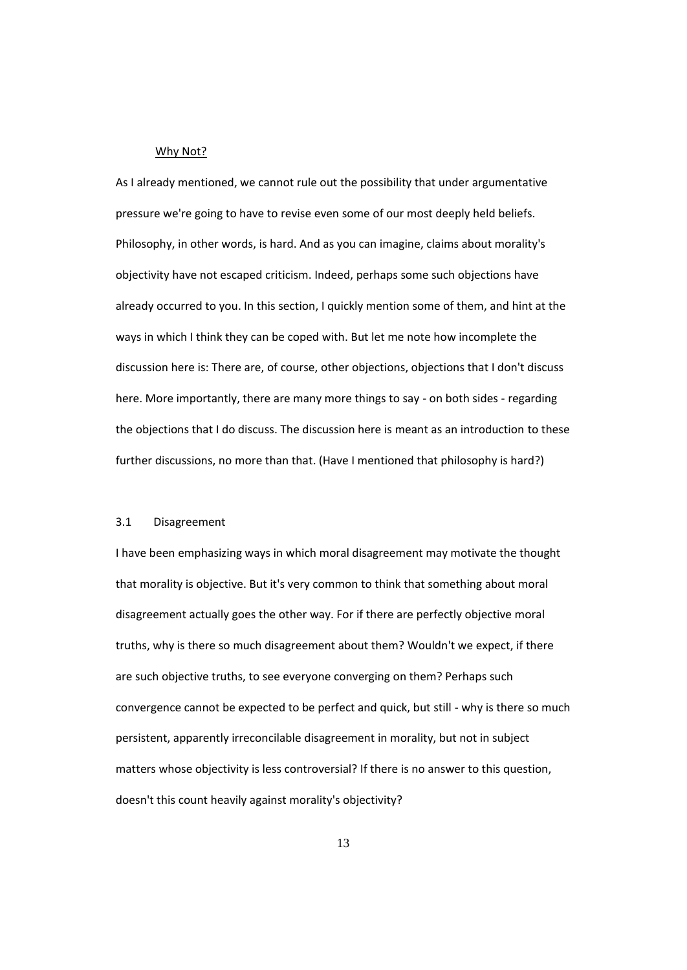#### Why Not?

As I already mentioned, we cannot rule out the possibility that under argumentative pressure we're going to have to revise even some of our most deeply held beliefs. Philosophy, in other words, is hard. And as you can imagine, claims about morality's objectivity have not escaped criticism. Indeed, perhaps some such objections have already occurred to you. In this section, I quickly mention some of them, and hint at the ways in which I think they can be coped with. But let me note how incomplete the discussion here is: There are, of course, other objections, objections that I don't discuss here. More importantly, there are many more things to say - on both sides - regarding the objections that I do discuss. The discussion here is meant as an introduction to these further discussions, no more than that. (Have I mentioned that philosophy is hard?)

### 3.1 Disagreement

I have been emphasizing ways in which moral disagreement may motivate the thought that morality is objective. But it's very common to think that something about moral disagreement actually goes the other way. For if there are perfectly objective moral truths, why is there so much disagreement about them? Wouldn't we expect, if there are such objective truths, to see everyone converging on them? Perhaps such convergence cannot be expected to be perfect and quick, but still - why is there so much persistent, apparently irreconcilable disagreement in morality, but not in subject matters whose objectivity is less controversial? If there is no answer to this question, doesn't this count heavily against morality's objectivity?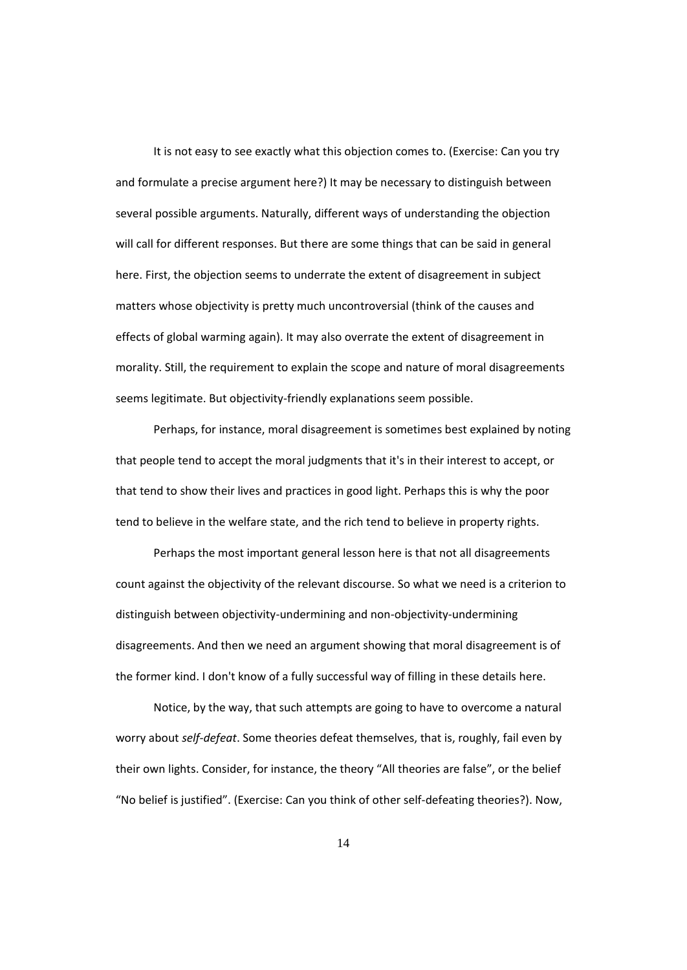It is not easy to see exactly what this objection comes to. (Exercise: Can you try and formulate a precise argument here?) It may be necessary to distinguish between several possible arguments. Naturally, different ways of understanding the objection will call for different responses. But there are some things that can be said in general here. First, the objection seems to underrate the extent of disagreement in subject matters whose objectivity is pretty much uncontroversial (think of the causes and effects of global warming again). It may also overrate the extent of disagreement in morality. Still, the requirement to explain the scope and nature of moral disagreements seems legitimate. But objectivity-friendly explanations seem possible.

Perhaps, for instance, moral disagreement is sometimes best explained by noting that people tend to accept the moral judgments that it's in their interest to accept, or that tend to show their lives and practices in good light. Perhaps this is why the poor tend to believe in the welfare state, and the rich tend to believe in property rights.

Perhaps the most important general lesson here is that not all disagreements count against the objectivity of the relevant discourse. So what we need is a criterion to distinguish between objectivity-undermining and non-objectivity-undermining disagreements. And then we need an argument showing that moral disagreement is of the former kind. I don't know of a fully successful way of filling in these details here.

Notice, by the way, that such attempts are going to have to overcome a natural worry about *self-defeat*. Some theories defeat themselves, that is, roughly, fail even by their own lights. Consider, for instance, the theory "All theories are false", or the belief "No belief is justified". (Exercise: Can you think of other self-defeating theories?). Now,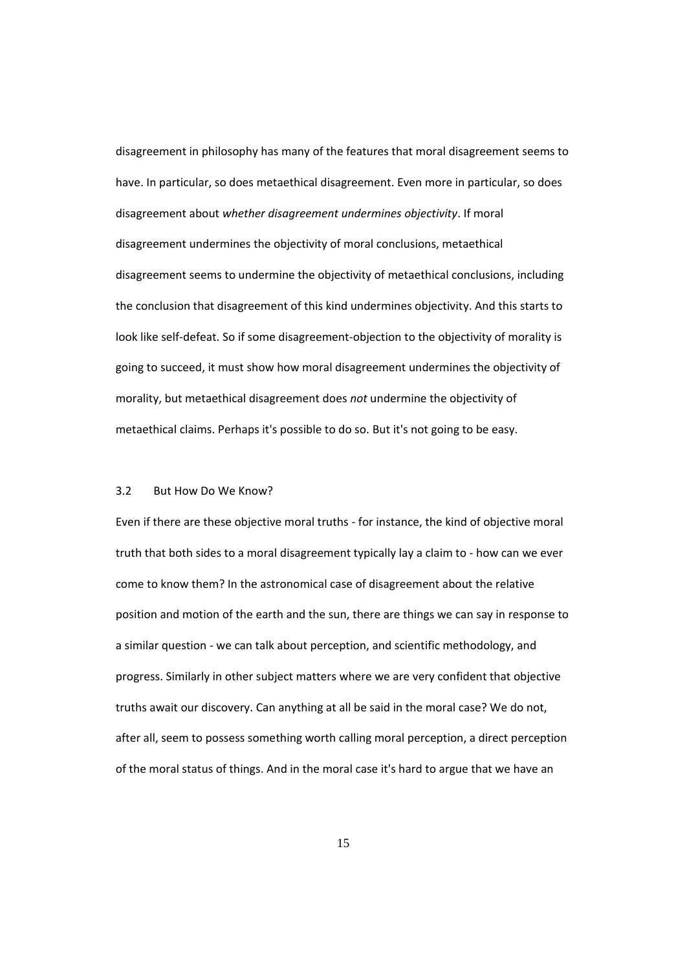disagreement in philosophy has many of the features that moral disagreement seems to have. In particular, so does metaethical disagreement. Even more in particular, so does disagreement about *whether disagreement undermines objectivity*. If moral disagreement undermines the objectivity of moral conclusions, metaethical disagreement seems to undermine the objectivity of metaethical conclusions, including the conclusion that disagreement of this kind undermines objectivity. And this starts to look like self-defeat. So if some disagreement-objection to the objectivity of morality is going to succeed, it must show how moral disagreement undermines the objectivity of morality, but metaethical disagreement does *not* undermine the objectivity of metaethical claims. Perhaps it's possible to do so. But it's not going to be easy.

## 3.2 But How Do We Know?

Even if there are these objective moral truths - for instance, the kind of objective moral truth that both sides to a moral disagreement typically lay a claim to - how can we ever come to know them? In the astronomical case of disagreement about the relative position and motion of the earth and the sun, there are things we can say in response to a similar question - we can talk about perception, and scientific methodology, and progress. Similarly in other subject matters where we are very confident that objective truths await our discovery. Can anything at all be said in the moral case? We do not, after all, seem to possess something worth calling moral perception, a direct perception of the moral status of things. And in the moral case it's hard to argue that we have an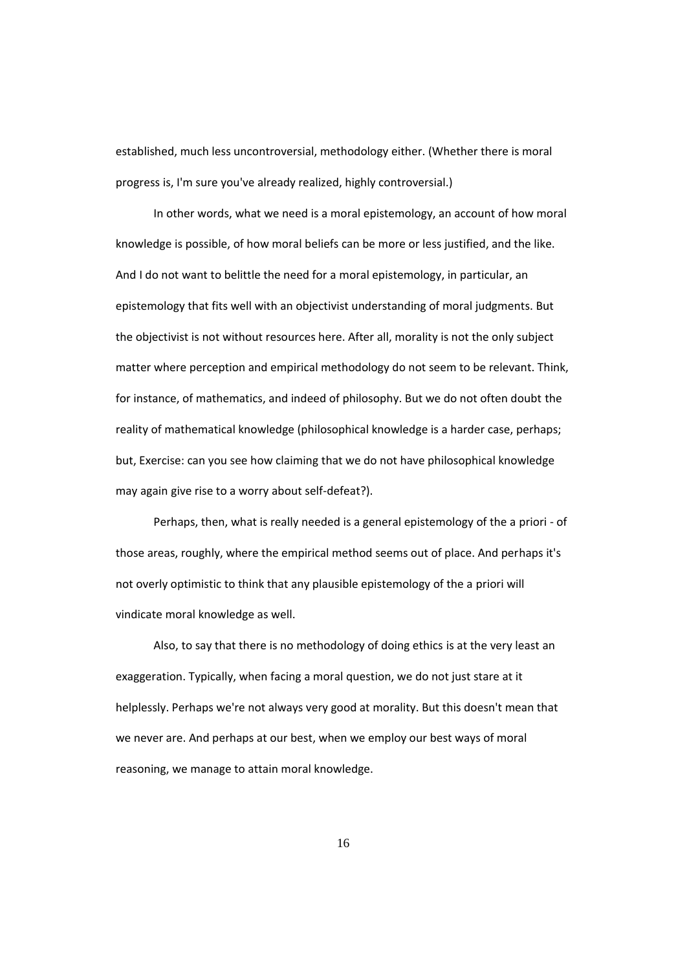established, much less uncontroversial, methodology either. (Whether there is moral progress is, I'm sure you've already realized, highly controversial.)

In other words, what we need is a moral epistemology, an account of how moral knowledge is possible, of how moral beliefs can be more or less justified, and the like. And I do not want to belittle the need for a moral epistemology, in particular, an epistemology that fits well with an objectivist understanding of moral judgments. But the objectivist is not without resources here. After all, morality is not the only subject matter where perception and empirical methodology do not seem to be relevant. Think, for instance, of mathematics, and indeed of philosophy. But we do not often doubt the reality of mathematical knowledge (philosophical knowledge is a harder case, perhaps; but, Exercise: can you see how claiming that we do not have philosophical knowledge may again give rise to a worry about self-defeat?).

Perhaps, then, what is really needed is a general epistemology of the a priori - of those areas, roughly, where the empirical method seems out of place. And perhaps it's not overly optimistic to think that any plausible epistemology of the a priori will vindicate moral knowledge as well.

Also, to say that there is no methodology of doing ethics is at the very least an exaggeration. Typically, when facing a moral question, we do not just stare at it helplessly. Perhaps we're not always very good at morality. But this doesn't mean that we never are. And perhaps at our best, when we employ our best ways of moral reasoning, we manage to attain moral knowledge.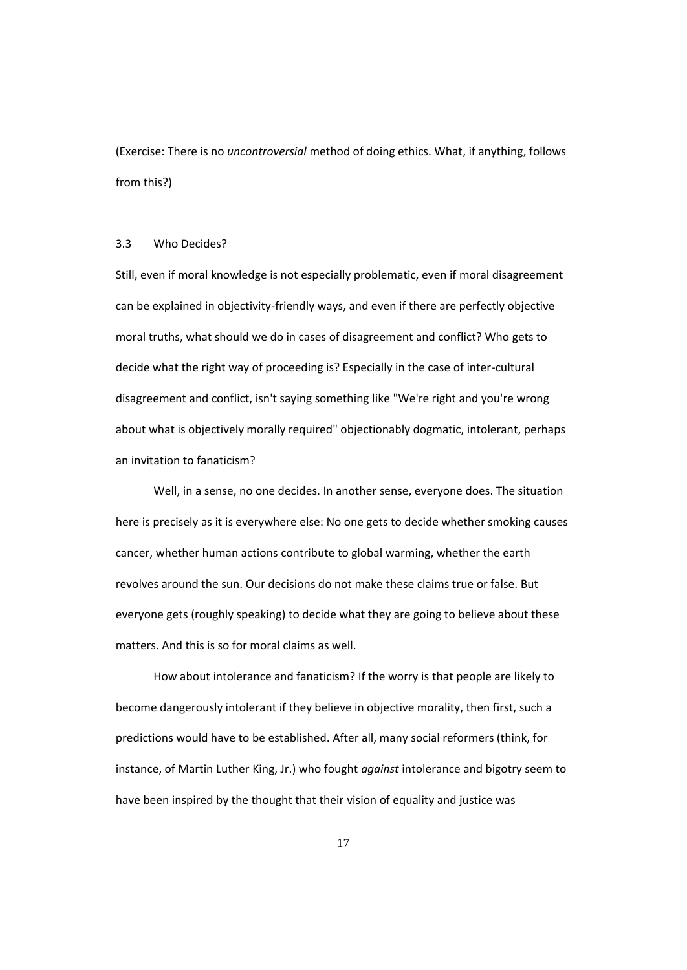(Exercise: There is no *uncontroversial* method of doing ethics. What, if anything, follows from this?)

# 3.3 Who Decides?

Still, even if moral knowledge is not especially problematic, even if moral disagreement can be explained in objectivity-friendly ways, and even if there are perfectly objective moral truths, what should we do in cases of disagreement and conflict? Who gets to decide what the right way of proceeding is? Especially in the case of inter-cultural disagreement and conflict, isn't saying something like "We're right and you're wrong about what is objectively morally required" objectionably dogmatic, intolerant, perhaps an invitation to fanaticism?

Well, in a sense, no one decides. In another sense, everyone does. The situation here is precisely as it is everywhere else: No one gets to decide whether smoking causes cancer, whether human actions contribute to global warming, whether the earth revolves around the sun. Our decisions do not make these claims true or false. But everyone gets (roughly speaking) to decide what they are going to believe about these matters. And this is so for moral claims as well.

How about intolerance and fanaticism? If the worry is that people are likely to become dangerously intolerant if they believe in objective morality, then first, such a predictions would have to be established. After all, many social reformers (think, for instance, of Martin Luther King, Jr.) who fought *against* intolerance and bigotry seem to have been inspired by the thought that their vision of equality and justice was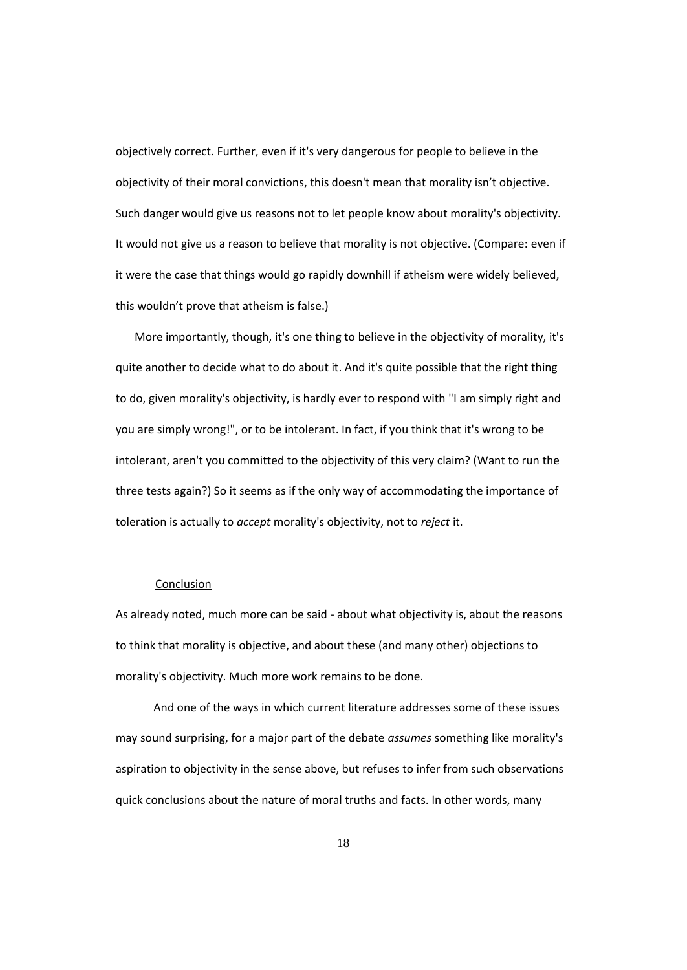objectively correct. Further, even if it's very dangerous for people to believe in the objectivity of their moral convictions, this doesn't mean that morality isn't objective. Such danger would give us reasons not to let people know about morality's objectivity. It would not give us a reason to believe that morality is not objective. (Compare: even if it were the case that things would go rapidly downhill if atheism were widely believed, this wouldn't prove that atheism is false.)

More importantly, though, it's one thing to believe in the objectivity of morality, it's quite another to decide what to do about it. And it's quite possible that the right thing to do, given morality's objectivity, is hardly ever to respond with "I am simply right and you are simply wrong!", or to be intolerant. In fact, if you think that it's wrong to be intolerant, aren't you committed to the objectivity of this very claim? (Want to run the three tests again?) So it seems as if the only way of accommodating the importance of toleration is actually to *accept* morality's objectivity, not to *reject* it.

#### **Conclusion**

As already noted, much more can be said - about what objectivity is, about the reasons to think that morality is objective, and about these (and many other) objections to morality's objectivity. Much more work remains to be done.

And one of the ways in which current literature addresses some of these issues may sound surprising, for a major part of the debate *assumes* something like morality's aspiration to objectivity in the sense above, but refuses to infer from such observations quick conclusions about the nature of moral truths and facts. In other words, many